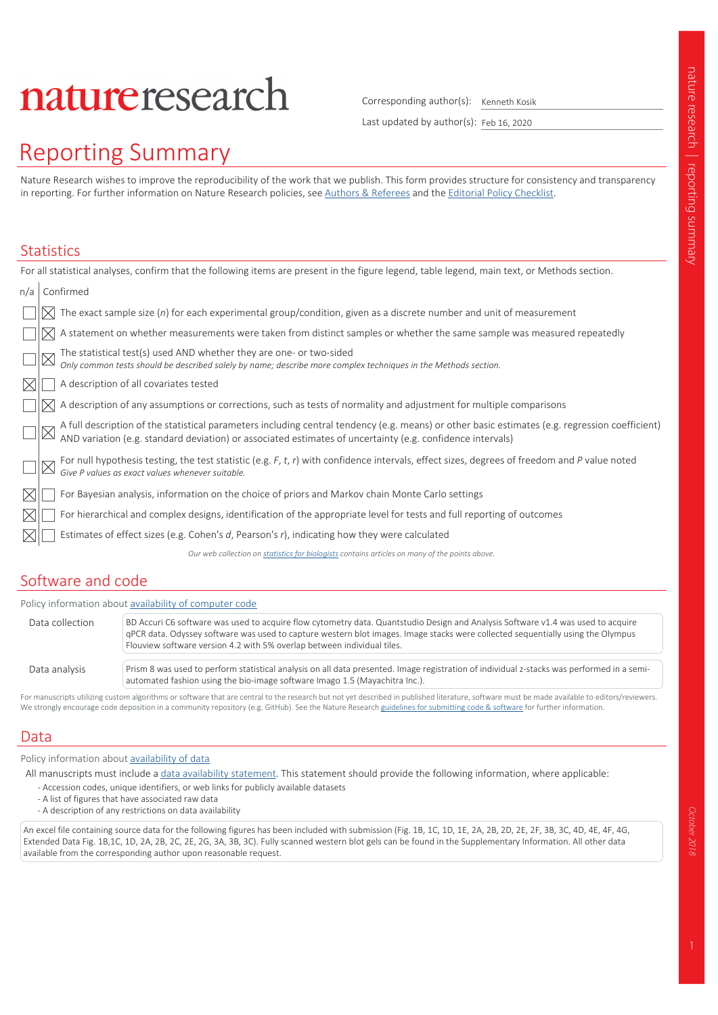# natureresearch

Corresponding author(s): Kenneth Kosik

Last updated by author(s): Feb 16, 2020

# Reporting Summary

Nature Research wishes to improve the reproducibility of the work that we publish. This form provides structure for consistency and transparency in reporting. For further information on Nature Research policies, see Authors & Referees and the Editorial Policy Checklist.

### **Statistics**

|          | For all statistical analyses, confirm that the following items are present in the figure legend, table legend, main text, or Methods section.                                                                                  |
|----------|--------------------------------------------------------------------------------------------------------------------------------------------------------------------------------------------------------------------------------|
| n/a      | Confirmed                                                                                                                                                                                                                      |
|          | The exact sample size $(n)$ for each experimental group/condition, given as a discrete number and unit of measurement                                                                                                          |
|          | A statement on whether measurements were taken from distinct samples or whether the same sample was measured repeatedly                                                                                                        |
|          | The statistical test(s) used AND whether they are one- or two-sided<br>Only common tests should be described solely by name; describe more complex techniques in the Methods section.                                          |
|          | A description of all covariates tested                                                                                                                                                                                         |
|          | A description of any assumptions or corrections, such as tests of normality and adjustment for multiple comparisons                                                                                                            |
|          | A full description of the statistical parameters including central tendency (e.g. means) or other basic estimates (e.g. regression coefficient) AND variation (e.g. standard deviation) or associated estimates of uncertainty |
|          | For null hypothesis testing, the test statistic (e.g. F, t, r) with confidence intervals, effect sizes, degrees of freedom and P value noted Give P values as exact values whenever suitable.                                  |
| $\times$ | For Bayesian analysis, information on the choice of priors and Markov chain Monte Carlo settings                                                                                                                               |
| $\times$ | For hierarchical and complex designs, identification of the appropriate level for tests and full reporting of outcomes                                                                                                         |
|          | Estimates of effect sizes (e.g. Cohen's $d$ , Pearson's $r$ ), indicating how they were calculated                                                                                                                             |
|          | Our web collection on statistics for biologists contains articles on many of the points above.                                                                                                                                 |
|          |                                                                                                                                                                                                                                |

# Software and code

#### Policy information about availability of computer code

| Data collection | BD Accuri C6 software was used to acquire flow cytometry data. Quantstudio Design and Analysis Software v1.4 was used to acquire<br>gPCR data. Odyssey software was used to capture western blot images. Image stacks were collected sequentially using the Olympus<br>Flouview software version 4.2 with 5% overlap between individual tiles. |
|-----------------|------------------------------------------------------------------------------------------------------------------------------------------------------------------------------------------------------------------------------------------------------------------------------------------------------------------------------------------------|
| Data analysis   | Prism 8 was used to perform statistical analysis on all data presented. Image registration of individual z-stacks was performed in a semi-<br>automated fashion using the bio-image software Imago 1.5 (Mayachitra Inc.).                                                                                                                      |

For manuscripts utilizing custom algorithms or software that are central to the research but not yet described in published literature, software must be made available to editors/reviewers. We strongly encourage code deposition in a community repository (e.g. GitHub). See the Nature Research guidelines for submitting code & software for further information

### Data

Policy information about availability of data

All manuscripts must include a data availability statement. This statement should provide the following information, where applicable:

- Accession codes, unique identifiers, or web links for publicly available datasets
- A list of figures that have associated raw data
- A description of any restrictions on data availability

An excel file containing source data for the following figures has been included with submission (Fig. 1B, 1C, 1D, 1E, 2A, 2B, 2D, 2E, 2F, 3B, 3C, 4D, 4E, 4F, 4G, Extended Data Fig. 1B,1C, 1D, 2A, 2B, 2C, 2E, 2G, 3A, 3B, 3C). Fully scanned western blot gels can be found in the Supplementary Information. All other data available from the corresponding author upon reasonable request.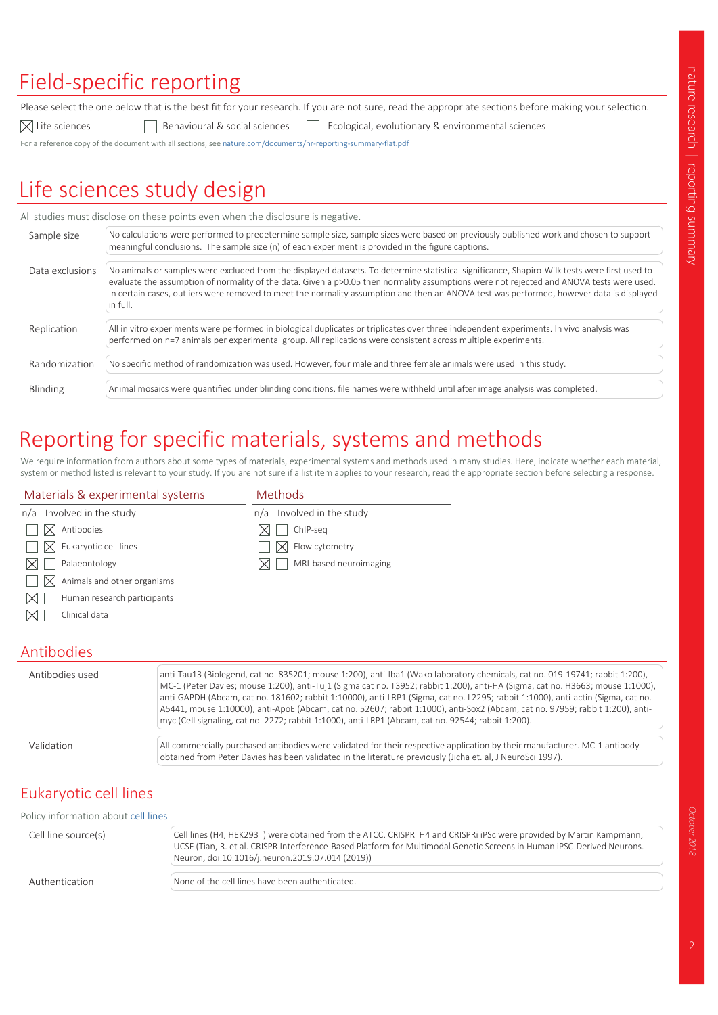# Field-specific reporting

Please select the one below that is the best fit for your research. If you are not sure, read the appropriate sections before making your selection.

 $\boxtimes$  Life sciences  $\Box$  Behavioural & social sciences  $\Box$  Ecological, evolutionary & environmental sciences

For a reference copy of the document with all sections, see nature.com/documents/nr-reporting-summary-flat.pdf

# Life sciences study design

All studies must disclose on these points even when the disclosure is negative.

| Sample size     | No calculations were performed to predetermine sample size, sample sizes were based on previously published work and chosen to support<br>meaningful conclusions. The sample size (n) of each experiment is provided in the figure captions.                                                                                                                                                                                                      |
|-----------------|---------------------------------------------------------------------------------------------------------------------------------------------------------------------------------------------------------------------------------------------------------------------------------------------------------------------------------------------------------------------------------------------------------------------------------------------------|
| Data exclusions | No animals or samples were excluded from the displayed datasets. To determine statistical significance, Shapiro-Wilk tests were first used to<br>evaluate the assumption of normality of the data. Given a p>0.05 then normality assumptions were not rejected and ANOVA tests were used.<br>In certain cases, outliers were removed to meet the normality assumption and then an ANOVA test was performed, however data is displayed<br>in full. |
| Replication     | All in vitro experiments were performed in biological duplicates or triplicates over three independent experiments. In vivo analysis was<br>performed on n=7 animals per experimental group. All replications were consistent across multiple experiments.                                                                                                                                                                                        |
| Randomization   | No specific method of randomization was used. However, four male and three female animals were used in this study.                                                                                                                                                                                                                                                                                                                                |
| Blinding        | Animal mosaics were quantified under blinding conditions, file names were withheld until after image analysis was completed.                                                                                                                                                                                                                                                                                                                      |

# Reporting for specific materials, systems and methods

Methods

We require information from authors about some types of materials, experimental systems and methods used in many studies. Here, indicate whether each material, system or method listed is relevant to your study. If you are not sure if a list item applies to your research, read the appropriate section before selecting a response.

#### Materials & experimental systems

| n/a             | Involved in the study       | n/a      | Involved in the study                                                                                                          |  |
|-----------------|-----------------------------|----------|--------------------------------------------------------------------------------------------------------------------------------|--|
|                 | Antibodies                  | $\times$ | ChIP-seg                                                                                                                       |  |
|                 | Eukaryotic cell lines       |          | Flow cytometry<br>$\times$ l                                                                                                   |  |
|                 | Palaeontology               |          | MRI-based neuroimaging                                                                                                         |  |
|                 | Animals and other organisms |          |                                                                                                                                |  |
|                 | Human research participants |          |                                                                                                                                |  |
|                 | Clinical data               |          |                                                                                                                                |  |
|                 |                             |          |                                                                                                                                |  |
| Antibodies      |                             |          |                                                                                                                                |  |
| Antibodies used |                             |          | anti-Tau13 (Biolegend, cat no. 835201; mouse 1:200), anti-Iba1 (Wako laboratory chemicals, cat no. 019-19741; rabbit 1:200),   |  |
|                 |                             |          | MC-1 (Peter Davies; mouse 1:200), anti-Tuj1 (Sigma cat no. T3952; rabbit 1:200), anti-HA (Sigma, cat no. H3663; mouse 1:1000), |  |

A5441, mouse 1:10000), anti-ApoE (Abcam, cat no. 52607; rabbit 1:1000), anti-Sox2 (Abcam, cat no. 97959; rabbit 1:200), antimyc (Cell signaling, cat no. 2272; rabbit 1:1000), anti-LRP1 (Abcam, cat no. 92544; rabbit 1:200).

anti-GAPDH (Abcam, cat no. 181602; rabbit 1:10000), anti-LRP1 (Sigma, cat no. L2295; rabbit 1:1000), anti-actin (Sigma, cat no.

#### Validation All commercially purchased antibodies were validated for their respective application by their manufacturer. MC-1 antibody obtained from Peter Davies has been validated in the literature previously (Jicha et. al, J NeuroSci 1997).

# Eukaryotic cell lines

| Policy information about cell lines |                                                                                                                                                                                                                                                                                                   |
|-------------------------------------|---------------------------------------------------------------------------------------------------------------------------------------------------------------------------------------------------------------------------------------------------------------------------------------------------|
| Cell line source(s)                 | Cell lines (H4, HEK293T) were obtained from the ATCC. CRISPRI H4 and CRISPRI IPSc were provided by Martin Kampmann,<br>UCSF (Tian, R. et al. CRISPR Interference-Based Platform for Multimodal Genetic Screens in Human iPSC-Derived Neurons.<br>Neuron, doi:10.1016/j.neuron.2019.07.014 (2019)) |
| Authentication                      | None of the cell lines have been authenticated.                                                                                                                                                                                                                                                   |